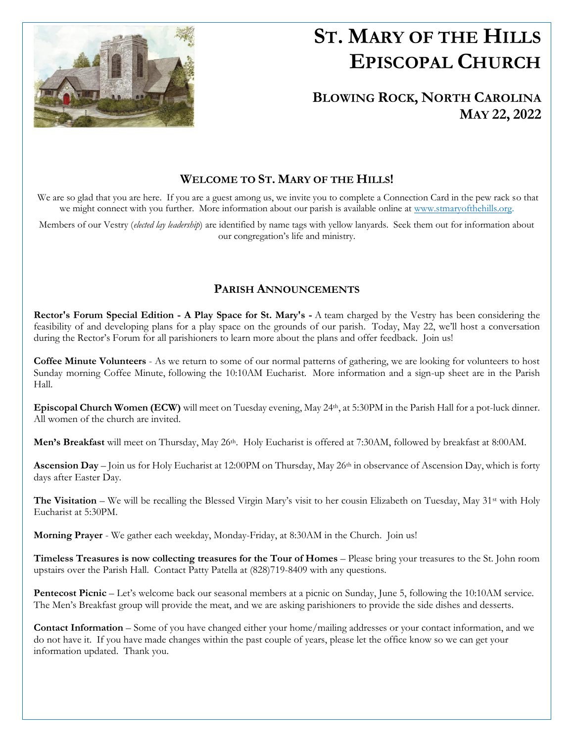

# **ST. MARY OF THE HILLS EPISCOPAL CHURCH**

## **BLOWING ROCK, NORTH CAROLINA MAY 22, 2022**

## **WELCOME TO ST. MARY OF THE HILLS!**

We are so glad that you are here. If you are a guest among us, we invite you to complete a Connection Card in the pew rack so that we might connect with you further. More information about our parish is available online at [www.stmaryofthehills.org.](http://www.stmaryofthehills.org/)

Members of our Vestry (*elected lay leadership*) are identified by name tags with yellow lanyards. Seek them out for information about our congregation's life and ministry.

## **PARISH ANNOUNCEMENTS**

**Rector's Forum Special Edition - A Play Space for St. Mary's -** A team charged by the Vestry has been considering the feasibility of and developing plans for a play space on the grounds of our parish. Today, May 22, we'll host a conversation during the Rector's Forum for all parishioners to learn more about the plans and offer feedback. Join us!

**Coffee Minute Volunteers** - As we return to some of our normal patterns of gathering, we are looking for volunteers to host Sunday morning Coffee Minute, following the 10:10AM Eucharist. More information and a sign-up sheet are in the Parish Hall.

**Episcopal Church Women (ECW)** will meet on Tuesday evening, May 24<sup>th</sup>, at 5:30PM in the Parish Hall for a pot-luck dinner. All women of the church are invited.

Men's Breakfast will meet on Thursday, May 26<sup>th</sup>. Holy Eucharist is offered at 7:30AM, followed by breakfast at 8:00AM.

**Ascension Day** – Join us for Holy Eucharist at 12:00PM on Thursday, May 26<sup>th</sup> in observance of Ascension Day, which is forty days after Easter Day.

**The Visitation** – We will be recalling the Blessed Virgin Mary's visit to her cousin Elizabeth on Tuesday, May 31<sup>st</sup> with Holy Eucharist at 5:30PM.

**Morning Prayer** - We gather each weekday, Monday-Friday, at 8:30AM in the Church. Join us!

**Timeless Treasures is now collecting treasures for the Tour of Homes** – Please bring your treasures to the St. John room upstairs over the Parish Hall. Contact Patty Patella at (828)719-8409 with any questions.

**Pentecost Picnic** – Let's welcome back our seasonal members at a picnic on Sunday, June 5, following the 10:10AM service. The Men's Breakfast group will provide the meat, and we are asking parishioners to provide the side dishes and desserts.

**Contact Information** – Some of you have changed either your home/mailing addresses or your contact information, and we do not have it. If you have made changes within the past couple of years, please let the office know so we can get your information updated. Thank you.